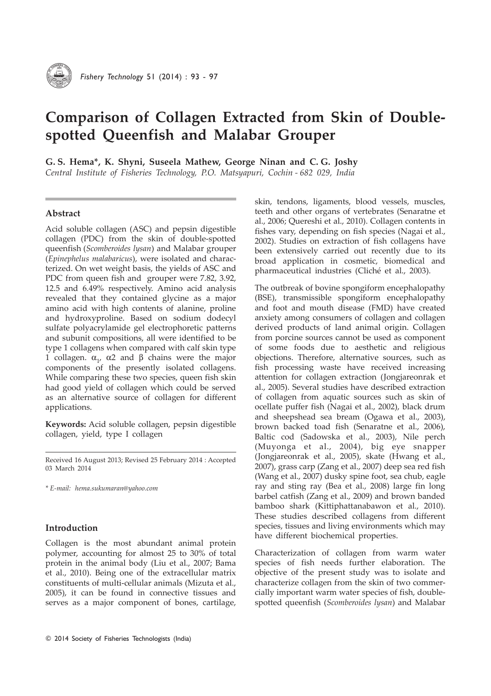

# Comparison of Collagen Extracted from Skin of Doublespotted Queenfish and Malabar Grouper

G. S. Hema\*, K. Shyni, Suseela Mathew, George Ninan and C. G. Joshy

Central Institute of Fisheries Technology, P.O. Matsyapuri, Cochin - 682 029, India

# Abstract

Acid soluble collagen (ASC) and pepsin digestible collagen (PDC) from the skin of double-spotted queenfish (Scomberoides lysan) and Malabar grouper (Epinephelus malabaricus), were isolated and characterized. On wet weight basis, the yields of ASC and PDC from queen fish and grouper were 7.82, 3.92, 12.5 and 6.49% respectively. Amino acid analysis revealed that they contained glycine as a major amino acid with high contents of alanine, proline and hydroxyproline. Based on sodium dodecyl sulfate polyacrylamide gel electrophoretic patterns and subunit compositions, all were identified to be type 1 collagens when compared with calf skin type 1 collagen.  $\alpha_1$  α2 and β chains were the major components of the presently isolated collagens. While comparing these two species, queen fish skin had good yield of collagen which could be served as an alternative source of collagen for different applications.

Keywords: Acid soluble collagen, pepsin digestible collagen, yield, type I collagen

Received 16 August 2013; Revised 25 February 2014 : Accepted 03 March 2014

\* E-mail: hema.sukumaran@yahoo.com

# Introduction

Collagen is the most abundant animal protein polymer, accounting for almost 25 to 30% of total protein in the animal body (Liu et al., 2007; Bama et al., 2010). Being one of the extracellular matrix constituents of multi-cellular animals (Mizuta et al., 2005), it can be found in connective tissues and serves as a major component of bones, cartilage, skin, tendons, ligaments, blood vessels, muscles, teeth and other organs of vertebrates (Senaratne et al., 2006; Quereshi et al., 2010). Collagen contents in fishes vary, depending on fish species (Nagai et al., 2002). Studies on extraction of fish collagens have been extensively carried out recently due to its broad application in cosmetic, biomedical and pharmaceutical industries (Cliché et al., 2003).

The outbreak of bovine spongiform encephalopathy (BSE), transmissible spongiform encephalopathy and foot and mouth disease (FMD) have created anxiety among consumers of collagen and collagen derived products of land animal origin. Collagen from porcine sources cannot be used as component of some foods due to aesthetic and religious objections. Therefore, alternative sources, such as fish processing waste have received increasing attention for collagen extraction (Jongjareonrak et al., 2005). Several studies have described extraction of collagen from aquatic sources such as skin of ocellate puffer fish (Nagai et al., 2002), black drum and sheepshead sea bream (Ogawa et al., 2003), brown backed toad fish (Senaratne et al., 2006), Baltic cod (Sadowska et al., 2003), Nile perch (Muyonga et al., 2004), big eye snapper (Jongjareonrak et al., 2005), skate (Hwang et al., 2007), grass carp (Zang et al., 2007) deep sea red fish (Wang et al., 2007) dusky spine foot, sea chub, eagle ray and sting ray (Bea et al., 2008) large fin long barbel catfish (Zang et al., 2009) and brown banded bamboo shark (Kittiphattanabawon et al., 2010). These studies described collagens from different species, tissues and living environments which may have different biochemical properties.

Characterization of collagen from warm water species of fish needs further elaboration. The objective of the present study was to isolate and characterize collagen from the skin of two commercially important warm water species of fish, doublespotted queenfish (Scomberoides lysan) and Malabar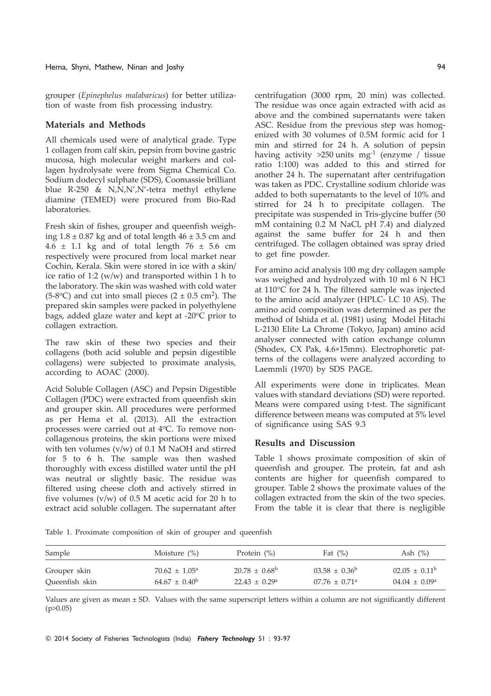grouper (Epinephelus malabaricus) for better utilization of waste from fish processing industry.

## Materials and Methods

All chemicals used were of analytical grade. Type 1 collagen from calf skin, pepsin from bovine gastric mucosa, high molecular weight markers and collagen hydrolysate were from Sigma Chemical Co. Sodium dodecyl sulphate (SDS), Coomassie brilliant blue R-250 & N,N,N',N'-tetra methyl ethylene diamine (TEMED) were procured from Bio-Rad laboratories.

Fresh skin of fishes, grouper and queenfish weighing  $1.8 \pm 0.87$  kg and of total length  $46 \pm 3.5$  cm and  $4.6 \pm 1.1$  kg and of total length  $76 \pm 5.6$  cm respectively were procured from local market near Cochin, Kerala. Skin were stored in ice with a skin/ ice ratio of 1:2 (w/w) and transported within 1 h to the laboratory. The skin was washed with cold water  $(5-8°C)$  and cut into small pieces  $(2 \pm 0.5 \text{ cm}^2)$ . The prepared skin samples were packed in polyethylene bags, added glaze water and kept at -20°C prior to collagen extraction.

The raw skin of these two species and their collagens (both acid soluble and pepsin digestible collagens) were subjected to proximate analysis, according to AOAC (2000).

Acid Soluble Collagen (ASC) and Pepsin Digestible Collagen (PDC) were extracted from queenfish skin and grouper skin. All procedures were performed as per Hema et al. (2013). All the extraction processes were carried out at 4°C. To remove noncollagenous proteins, the skin portions were mixed with ten volumes (v/w) of 0.1 M NaOH and stirred for 5 to 6 h. The sample was then washed thoroughly with excess distilled water until the pH was neutral or slightly basic. The residue was filtered using cheese cloth and actively stirred in five volumes  $(v/w)$  of 0.5 M acetic acid for 20 h to extract acid soluble collagen. The supernatant after centrifugation (3000 rpm, 20 min) was collected. The residue was once again extracted with acid as above and the combined supernatants were taken ASC. Residue from the previous step was homogenized with 30 volumes of 0.5M formic acid for 1 min and stirred for 24 h. A solution of pepsin having activity  $>250$  units mg<sup>-1</sup> (enzyme / tissue ratio 1:100) was added to this and stirred for another 24 h. The supernatant after centrifugation was taken as PDC. Crystalline sodium chloride was added to both supernatants to the level of 10% and stirred for 24 h to precipitate collagen. The precipitate was suspended in Tris-glycine buffer (50 mM containing 0.2 M NaCl, pH 7.4) and dialyzed against the same buffer for 24 h and then centrifuged. The collagen obtained was spray dried to get fine powder.

For amino acid analysis 100 mg dry collagen sample was weighed and hydrolyzed with 10 ml 6 N HCl at 110°C for 24 h. The filtered sample was injected to the amino acid analyzer (HPLC- LC 10 AS). The amino acid composition was determined as per the method of Ishida et al. (1981) using Model Hitachi L-2130 Elite La Chrome (Tokyo, Japan) amino acid analyser connected with cation exchange column (Shodex, CX Pak, 4.6×15mm). Electrophoretic patterns of the collagens were analyzed according to Laemmli (1970) by SDS PAGE.

All experiments were done in triplicates. Mean values with standard deviations (SD) were reported. Means were compared using t-test. The significant difference between means was computed at 5% level of significance using SAS 9.3

## Results and Discussion

Table 1 shows proximate composition of skin of queenfish and grouper. The protein, fat and ash contents are higher for queenfish compared to grouper. Table 2 shows the proximate values of the collagen extracted from the skin of the two species. From the table it is clear that there is negligible

Table 1. Proximate composition of skin of grouper and queenfish

| Sample         | Moisture $(\%)$             | Protein $(\%)$           | Fat $(\%)$                    | Ash $(\%)$               |
|----------------|-----------------------------|--------------------------|-------------------------------|--------------------------|
| Grouper skin   | $70.62 \pm 1.05^{\text{a}}$ | $20.78 \pm 0.68^{\circ}$ | $03.58 \pm 0.36^b$            | $02.05 \pm 0.11^b$       |
| Queenfish skin | $64.67 \pm 0.40^{\rm b}$    | $22.43 \pm 0.29^{\circ}$ | $07.76 \pm 0.71$ <sup>a</sup> | $04.04 \pm 0.09^{\circ}$ |

Values are given as mean ± SD. Values with the same superscript letters within a column are not significantly different  $(p>0.05)$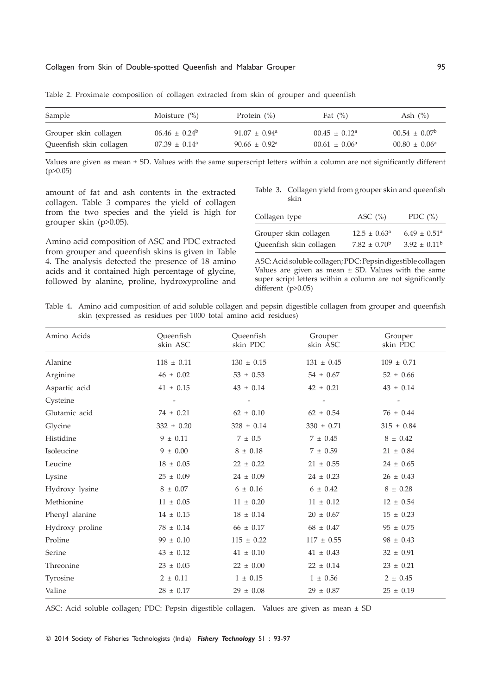### Collagen from Skin of Double-spotted Queenfish and Malabar Grouper 95

| Sample                  | Moisture $(\% )$            | Protein $(\%)$                | Fat $(\%)$                  | Ash $(\%)$               |
|-------------------------|-----------------------------|-------------------------------|-----------------------------|--------------------------|
| Grouper skin collagen   | $06.46 \pm 0.24^b$          | $91.07 \pm 0.94$ <sup>a</sup> | $00.45 \pm 0.12^{\text{a}}$ | $00.54 \pm 0.07^{\circ}$ |
| Queenfish skin collagen | $07.39 \pm 0.14^{\text{a}}$ | $90.66 \pm 0.92$ <sup>a</sup> | $00.61 \pm 0.06^{\text{a}}$ | $00.80 \pm 0.06^{\circ}$ |

Table 2. Proximate composition of collagen extracted from skin of grouper and queenfish

Values are given as mean ± SD. Values with the same superscript letters within a column are not significantly different  $(p>0.05)$ 

amount of fat and ash contents in the extracted collagen. Table 3 compares the yield of collagen from the two species and the yield is high for grouper skin (p>0.05).

Amino acid composition of ASC and PDC extracted from grouper and queenfish skins is given in Table 4. The analysis detected the presence of 18 amino acids and it contained high percentage of glycine, followed by alanine, proline, hydroxyproline and

Table 3. Collagen yield from grouper skin and queenfish skin

| Collagen type           | ASC $(\% )$             | PDC $(\% )$                  |
|-------------------------|-------------------------|------------------------------|
| Grouper skin collagen   | $12.5 \pm 0.63^{\circ}$ | $6.49 \pm 0.51$ <sup>a</sup> |
| Queenfish skin collagen | $7.82 \pm 0.70^{\rm b}$ | $3.92 \pm 0.11^{\rm b}$      |

ASC: Acid soluble collagen; PDC: Pepsin digestible collagen Values are given as mean  $\pm$  SD. Values with the same super script letters within a column are not significantly different (p>0.05)

Table 4. Amino acid composition of acid soluble collagen and pepsin digestible collagen from grouper and queenfish skin (expressed as residues per 1000 total amino acid residues)

| Amino Acids     | Queenfish<br>skin ASC    | Queenfish<br>skin PDC    | Grouper<br>skin ASC      | Grouper<br>skin PDC      |
|-----------------|--------------------------|--------------------------|--------------------------|--------------------------|
| Alanine         | $118 \pm 0.11$           | $130 \pm 0.15$           | $131 \pm 0.45$           | $109 \pm 0.71$           |
| Arginine        | $46 \pm 0.02$            | $53 \pm 0.53$            | $54 \pm 0.67$            | $52 \pm 0.66$            |
| Aspartic acid   | $41 \pm 0.15$            | $43 \pm 0.14$            | $42 \pm 0.21$            | $43 \pm 0.14$            |
| Cysteine        | $\overline{\phantom{a}}$ | $\overline{\phantom{0}}$ | $\overline{\phantom{a}}$ | $\overline{\phantom{a}}$ |
| Glutamic acid   | $74 \pm 0.21$            | $62 \pm 0.10$            | $62 \pm 0.54$            | $76 \pm 0.44$            |
| Glycine         | $332 \pm 0.20$           | $328 \pm 0.14$           | $330 \pm 0.71$           | $315 \pm 0.84$           |
| Histidine       | $9 \pm 0.11$             | $7~\pm~0.5$              | $7 \pm 0.45$             | $8 \pm 0.42$             |
| Isoleucine      | $9 \pm 0.00$             | $8 \pm 0.18$             | $7 \pm 0.59$             | $21 \pm 0.84$            |
| Leucine         | $18 \pm 0.05$            | $22 \pm 0.22$            | $21 \pm 0.55$            | $24 \pm 0.65$            |
| Lysine          | $25 \pm 0.09$            | $24 \pm 0.09$            | $24 \pm 0.23$            | $26 \pm 0.43$            |
| Hydroxy lysine  | $8 \pm 0.07$             | $6 \pm 0.16$             | $6 \pm 0.42$             | $8 \pm 0.28$             |
| Methionine      | $11 \pm 0.05$            | $11 \pm 0.20$            | $11 \pm 0.12$            | $12 \pm 0.54$            |
| Phenyl alanine  | $14 \pm 0.15$            | $18 \pm 0.14$            | $20 \pm 0.67$            | $15 \pm 0.23$            |
| Hydroxy proline | $78 \pm 0.14$            | $66 \pm 0.17$            | $68 \pm 0.47$            | $95 \pm 0.75$            |
| Proline         | $99 \pm 0.10$            | $115 \pm 0.22$           | $117 \pm 0.55$           | $98 \pm 0.43$            |
| Serine          | $43 \pm 0.12$            | $41 \pm 0.10$            | $41 \pm 0.43$            | $32 \pm 0.91$            |
| Threonine       | $23 \pm 0.05$            | $22 \pm 0.00$            | $22 \pm 0.14$            | $23 \pm 0.21$            |
| Tyrosine        | $2 \pm 0.11$             | $1 \pm 0.15$             | $1 \pm 0.56$             | $2 \pm 0.45$             |
| Valine          | $28 \pm 0.17$            | $29 \pm 0.08$            | $29 \pm 0.87$            | $25 \pm 0.19$            |

ASC: Acid soluble collagen; PDC: Pepsin digestible collagen. Values are given as mean ± SD

© 2014 Society of Fisheries Technologists (India) Fishery Technology 51 : 93-97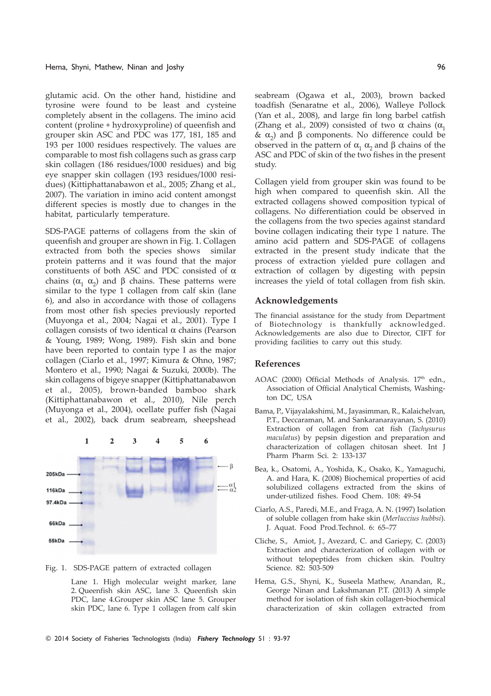glutamic acid. On the other hand, histidine and tyrosine were found to be least and cysteine completely absent in the collagens. The imino acid content (proline + hydroxyproline) of queenfish and grouper skin ASC and PDC was 177, 181, 185 and 193 per 1000 residues respectively. The values are comparable to most fish collagens such as grass carp skin collagen (186 residues/1000 residues) and big eye snapper skin collagen (193 residues/1000 residues) (Kittiphattanabawon et al., 2005; Zhang et al., 2007). The variation in imino acid content amongst different species is mostly due to changes in the habitat, particularly temperature.

SDS-PAGE patterns of collagens from the skin of queenfish and grouper are shown in Fig. 1. Collagen extracted from both the species shows similar protein patterns and it was found that the major constituents of both ASC and PDC consisted of α chains ( $\alpha_1$   $\alpha_2$ ) and β chains. These patterns were similar to the type 1 collagen from calf skin (lane 6), and also in accordance with those of collagens from most other fish species previously reported (Muyonga et al., 2004; Nagai et al., 2001). Type I collagen consists of two identical α chains (Pearson & Young, 1989; Wong, 1989). Fish skin and bone have been reported to contain type I as the major collagen (Ciarlo et al., 1997; Kimura & Ohno, 1987; Montero et al., 1990; Nagai & Suzuki, 2000b). The skin collagens of bigeye snapper (Kittiphattanabawon et al., 2005), brown-banded bamboo shark (Kittiphattanabawon et al., 2010), Nile perch (Muyonga et al., 2004), ocellate puffer fish (Nagai et al., 2002), back drum seabream, sheepshead



Fig. 1. SDS-PAGE pattern of extracted collagen

Lane 1. High molecular weight marker, lane 2. Queenfish skin ASC, lane 3. Queenfish skin PDC, lane 4.Grouper skin ASC lane 5. Grouper skin PDC, lane 6. Type 1 collagen from calf skin seabream (Ogawa et al., 2003), brown backed toadfish (Senaratne et al., 2006), Walleye Pollock (Yan et al., 2008), and large fin long barbel catfish (Zhang et al., 2009) consisted of two  $\alpha$  chains ( $\alpha_1$ ) &  $\alpha_2$ ) and β components. No difference could be observed in the pattern of  $\alpha_1$   $\alpha_2$  and β chains of the ASC and PDC of skin of the two fishes in the present study.

Collagen yield from grouper skin was found to be high when compared to queenfish skin. All the extracted collagens showed composition typical of collagens. No differentiation could be observed in the collagens from the two species against standard bovine collagen indicating their type 1 nature. The amino acid pattern and SDS-PAGE of collagens extracted in the present study indicate that the process of extraction yielded pure collagen and extraction of collagen by digesting with pepsin increases the yield of total collagen from fish skin.

## Acknowledgements

The financial assistance for the study from Department of Biotechnology is thankfully acknowledged. Acknowledgements are also due to Director, CIFT for providing facilities to carry out this study.

### References

- AOAC (2000) Official Methods of Analysis. 17th edn., Association of Official Analytical Chemists, Washington DC, USA
- Bama, P., Vijayalakshimi, M., Jayasimman, R., Kalaichelvan, P.T., Deccaraman, M. and Sankaranarayanan, S. (2010) Extraction of collagen from cat fish (Tachysurus maculatus) by pepsin digestion and preparation and characterization of collagen chitosan sheet. Int J Pharm Pharm Sci. 2: 133-137
- Bea, k., Osatomi, A., Yoshida, K., Osako, K., Yamaguchi, A. and Hara, K. (2008) Biochemical properties of acid solubilized collagens extracted from the skins of under-utilized fishes. Food Chem. 108: 49-54
- Ciarlo, A.S., Paredi, M.E., and Fraga, A. N. (1997) Isolation of soluble collagen from hake skin (Merluccius hubbsi). J. Aquat. Food Prod.Technol. 6: 65–77
- Cliche, S., Amiot, J., Avezard, C. and Gariepy, C. (2003) Extraction and characterization of collagen with or without telopeptides from chicken skin. Poultry Science. 82: 503-509
- Hema, G.S., Shyni, K., Suseela Mathew, Anandan, R., George Ninan and Lakshmanan P.T. (2013) A simple method for isolation of fish skin collagen-biochemical characterization of skin collagen extracted from